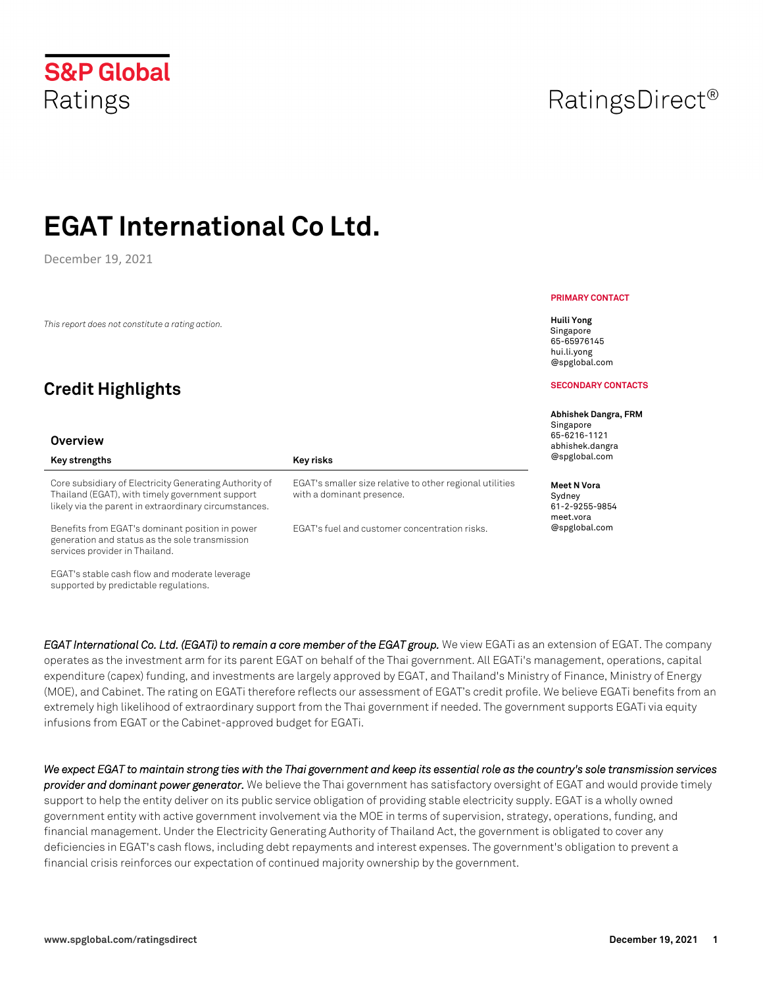December 19, 2021

*This report does not constitute a rating action.*

## **Credit Highlights**

#### **Overview**

#### Core subsidiary of Electricity Generating Authority of Thailand (EGAT), with timely government support likely via the parent in extraordinary circumstances. Benefits from EGAT's dominant position in power

Key strengths **Key risks Key risks** 

generation and status as the sole transmission services provider in Thailand.

EGAT's stable cash flow and moderate leverage supported by predictable regulations.

**PRIMARY CONTACT**

**Huili Yong** Singapore 65-65976145 hui.li.yong @spglobal.com

#### **SECONDARY CONTACTS**

**Abhishek Dangra, FRM** 

Singapore 65-6216-1121 abhishek.dangra @spglobal.com

#### **Meet N Vora**

Sydney 61-2-9255-9854 meet.vora @spglobal.com

*EGAT International Co. Ltd. (EGATi) to remain a core member of the EGAT group.* **We view EGATi as an extension of EGAT. The company** operates as the investment arm for its parent EGAT on behalf of the Thai government. All EGATi's management, operations, capital expenditure (capex) funding, and investments are largely approved by EGAT, and Thailand's Ministry of Finance, Ministry of Energy (MOE), and Cabinet. The rating on EGATi therefore reflects our assessment of EGAT's credit profile. We believe EGATi benefits from an extremely high likelihood of extraordinary support from the Thai government if needed. The government supports EGATi via equity infusions from EGAT or the Cabinet-approved budget for EGATi.

EGAT's smaller size relative to other regional utilities

EGAT's fuel and customer concentration risks.

with a dominant presence.

*We expect EGAT to maintain strong ties with the Thai government and keep its essential role as the country's sole transmission services provider and dominant power generator.* We believe the Thai government has satisfactory oversight of EGAT and would provide timely support to help the entity deliver on its public service obligation of providing stable electricity supply. EGAT is a wholly owned government entity with active government involvement via the MOE in terms of supervision, strategy, operations, funding, and financial management. Under the Electricity Generating Authority of Thailand Act, the government is obligated to cover any deficiencies in EGAT's cash flows, including debt repayments and interest expenses. The government's obligation to prevent a financial crisis reinforces our expectation of continued majority ownership by the government.

## **S&P Global** Ratings

## RatingsDirect<sup>®</sup>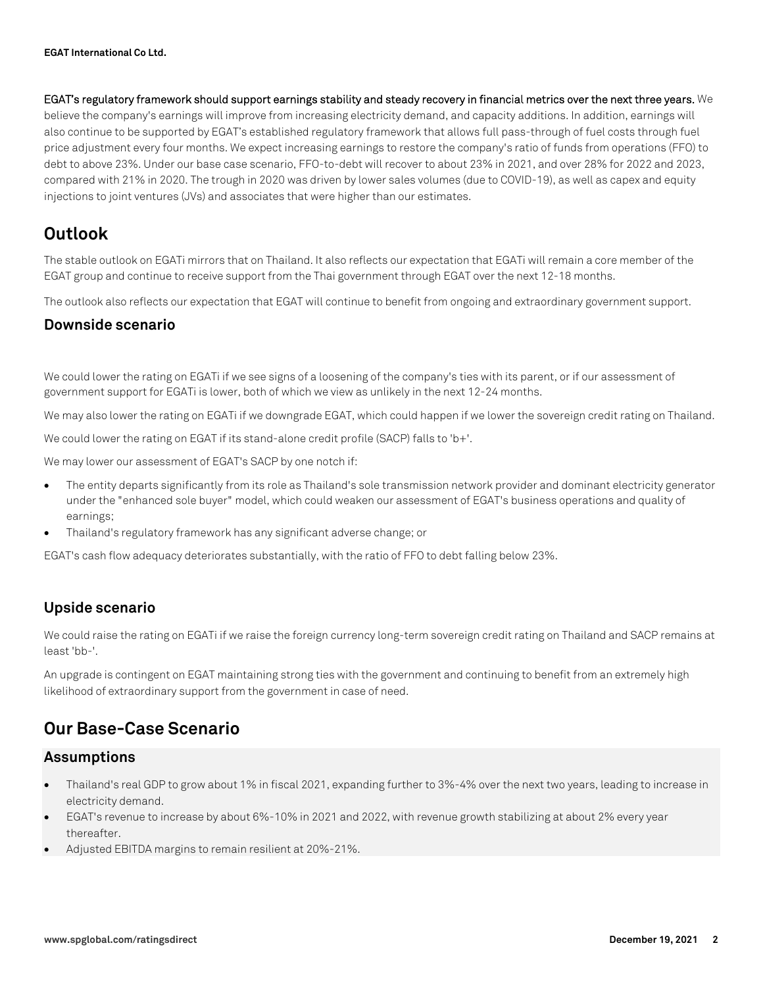**EGAT's regulatory framework should support earnings stability and steady recovery in financial metrics over the next three years.** We believe the company's earnings will improve from increasing electricity demand, and capacity additions. In addition, earnings will also continue to be supported by EGAT's established regulatory framework that allows full pass-through of fuel costs through fuel price adjustment every four months. We expect increasing earnings to restore the company's ratio of funds from operations (FFO) to debt to above 23%. Under our base case scenario, FFO-to-debt will recover to about 23% in 2021, and over 28% for 2022 and 2023, compared with 21% in 2020. The trough in 2020 was driven by lower sales volumes (due to COVID-19), as well as capex and equity injections to joint ventures (JVs) and associates that were higher than our estimates.

## **Outlook**

The stable outlook on EGATi mirrors that on Thailand. It also reflects our expectation that EGATi will remain a core member of the EGAT group and continue to receive support from the Thai government through EGAT over the next 12-18 months.

The outlook also reflects our expectation that EGAT will continue to benefit from ongoing and extraordinary government support.

#### **Downside scenario**

We could lower the rating on EGATi if we see signs of a loosening of the company's ties with its parent, or if our assessment of government support for EGATi is lower, both of which we view as unlikely in the next 12-24 months.

We may also lower the rating on EGATi if we downgrade EGAT, which could happen if we lower the sovereign credit rating on Thailand.

We could lower the rating on EGAT if its stand-alone credit profile (SACP) falls to 'b+'.

We may lower our assessment of EGAT's SACP by one notch if:

- The entity departs significantly from its role as Thailand's sole transmission network provider and dominant electricity generator under the "enhanced sole buyer" model, which could weaken our assessment of EGAT's business operations and quality of earnings;
- Thailand's regulatory framework has any significant adverse change; or

EGAT's cash flow adequacy deteriorates substantially, with the ratio of FFO to debt falling below 23%.

### **Upside scenario**

We could raise the rating on EGATi if we raise the foreign currency long-term sovereign credit rating on Thailand and SACP remains at least 'bb-'.

An upgrade is contingent on EGAT maintaining strong ties with the government and continuing to benefit from an extremely high likelihood of extraordinary support from the government in case of need.

## **Our Base-Case Scenario**

#### **Assumptions**

- Thailand's real GDP to grow about 1% in fiscal 2021, expanding further to 3%-4% over the next two years, leading to increase in electricity demand.
- EGAT's revenue to increase by about 6%-10% in 2021 and 2022, with revenue growth stabilizing at about 2% every year thereafter.
- Adjusted EBITDA margins to remain resilient at 20%-21%.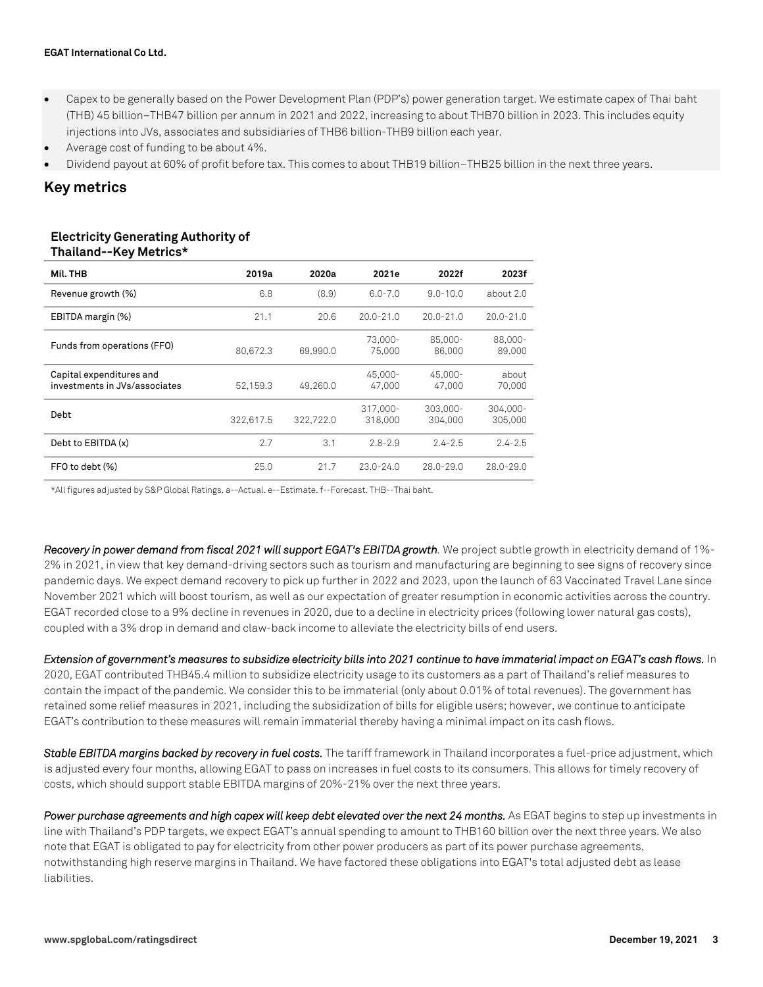- Capex to be generally based on the Power Development Plan (PDP's) power generation target. We estimate capex of Thai baht (THB) 45 billion–THB47 billion per annum in 2021 and 2022, increasing to about THB70 billion in 2023. This includes equity injections into JVs, associates and subsidiaries of THB6 billion-THB9 billion each year.
- Average cost of funding to be about 4%.
- Dividend payout at 60% of profit before tax. This comes to about THB19 billion–THB25 billion in the next three years.

### **Key metrics**

#### **Electricity Generating Authority of Thailand--Key Metrics\***

| Mil. THB                                                  | 2019a     | 2020a     | 2021e               | 2022f               | 2023f               |
|-----------------------------------------------------------|-----------|-----------|---------------------|---------------------|---------------------|
| Revenue growth (%)                                        | 6.8       | (8.9)     | $6.0 - 7.0$         | $9.0 - 10.0$        | about 2.0           |
| EBITDA margin (%)                                         | 21.1      | 20.6      | $20.0 - 21.0$       | $20.0 - 21.0$       | $20.0 - 21.0$       |
| Funds from operations (FFO)                               | 80.672.3  | 69.990.0  | 73,000-<br>75,000   | 85.000-<br>86,000   | 88,000-<br>89,000   |
| Capital expenditures and<br>investments in JVs/associates | 52.159.3  | 49,260.0  | 45.000-<br>47.000   | 45.000-<br>47.000   | about<br>70.000     |
| Debt                                                      | 322.617.5 | 322.722.0 | 317.000-<br>318,000 | 303.000-<br>304,000 | 304.000-<br>305,000 |
| Debt to EBITDA (x)                                        | 2.7       | 3.1       | $2.8 - 2.9$         | $2.4 - 2.5$         | $2.4 - 2.5$         |
| FFO to debt (%)                                           | 25.0      | 21.7      | $23.0 - 24.0$       | $28.0 - 29.0$       | $28.0 - 29.0$       |

\*All figures adjusted by S&P Global Ratings. a--Actual. e--Estimate. f--Forecast. THB--Thai baht.

*Recovery in power demand from fiscal 2021 will support EGAT's EBITDA growth.* We project subtle growth in electricity demand of 1%- 2% in 2021, in view that key demand-driving sectors such as tourism and manufacturing are beginning to see signs of recovery since pandemic days. We expect demand recovery to pick up further in 2022 and 2023, upon the launch of 63 Vaccinated Travel Lane since November 2021 which will boost tourism, as well as our expectation of greater resumption in economic activities across the country. EGAT recorded close to a 9% decline in revenues in 2020, due to a decline in electricity prices (following lower natural gas costs), coupled with a 3% drop in demand and claw-back income to alleviate the electricity bills of end users.

*Extension of government's measures to subsidize electricity bills into 2021 continue to have immaterial impact on EGAT's cash flows.* In 2020, EGAT contributed THB45.4 million to subsidize electricity usage to its customers as a part of Thailand's relief measures to contain the impact of the pandemic. We consider this to be immaterial (only about 0.01% of total revenues). The government has retained some relief measures in 2021, including the subsidization of bills for eligible users; however, we continue to anticipate EGAT's contribution to these measures will remain immaterial thereby having a minimal impact on its cash flows.

*Stable EBITDA margins backed by recovery in fuel costs.* The tariff framework in Thailand incorporates a fuel-price adjustment, which is adjusted every four months, allowing EGAT to pass on increases in fuel costs to its consumers. This allows for timely recovery of costs, which should support stable EBITDA margins of 20%-21% over the next three years.

*Power purchase agreements and high capex will keep debt elevated over the next 24 months.* As EGAT begins to step up investments in line with Thailand's PDP targets, we expect EGAT's annual spending to amount to THB160 billion over the next three years. We also note that EGAT is obligated to pay for electricity from other power producers as part of its power purchase agreements, notwithstanding high reserve margins in Thailand. We have factored these obligations into EGAT's total adjusted debt as lease liabilities.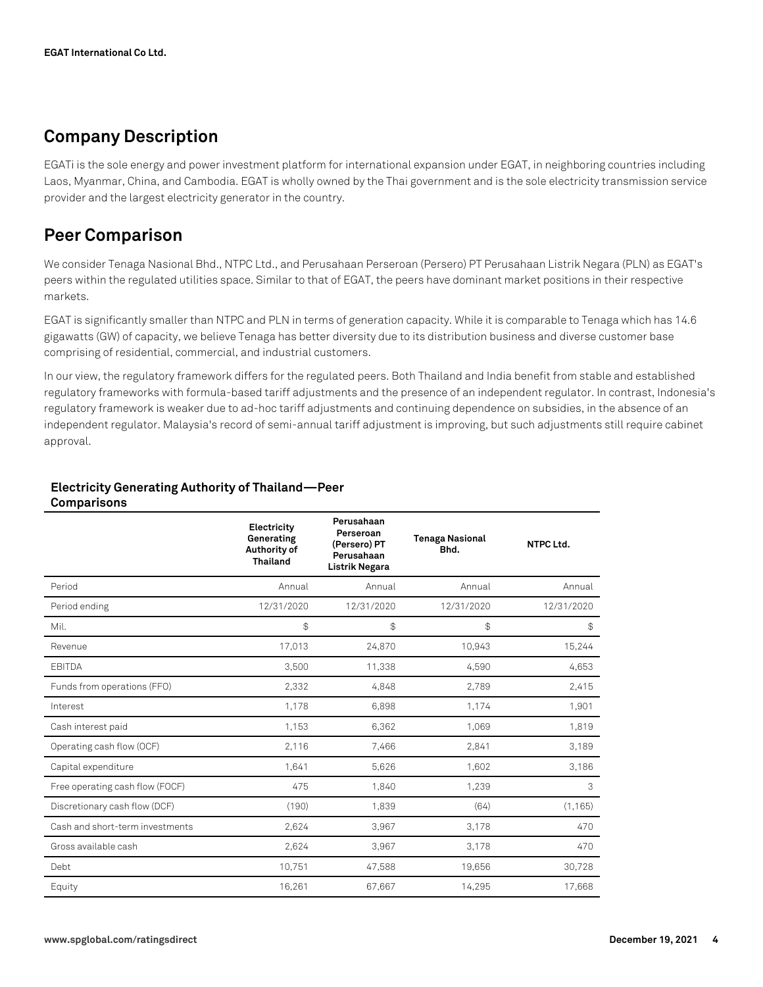## **Company Description**

EGATi is the sole energy and power investment platform for international expansion under EGAT, in neighboring countries including Laos, Myanmar, China, and Cambodia. EGAT is wholly owned by the Thai government and is the sole electricity transmission service provider and the largest electricity generator in the country.

## **Peer Comparison**

We consider Tenaga Nasional Bhd., NTPC Ltd., and Perusahaan Perseroan (Persero) PT Perusahaan Listrik Negara (PLN) as EGAT's peers within the regulated utilities space. Similar to that of EGAT, the peers have dominant market positions in their respective markets.

EGAT is significantly smaller than NTPC and PLN in terms of generation capacity. While it is comparable to Tenaga which has 14.6 gigawatts (GW) of capacity, we believe Tenaga has better diversity due to its distribution business and diverse customer base comprising of residential, commercial, and industrial customers.

In our view, the regulatory framework differs for the regulated peers. Both Thailand and India benefit from stable and established regulatory frameworks with formula-based tariff adjustments and the presence of an independent regulator. In contrast, Indonesia's regulatory framework is weaker due to ad-hoc tariff adjustments and continuing dependence on subsidies, in the absence of an independent regulator. Malaysia's record of semi-annual tariff adjustment is improving, but such adjustments still require cabinet approval.

#### **Electricity Generating Authority of Thailand—Peer Comparisons**

|                                 | Electricity<br>Generating<br>Authority of<br><b>Thailand</b> | Perusahaan<br>Perseroan<br>(Persero) PT<br>Perusahaan<br>Listrik Negara | <b>Tenaga Nasional</b><br>Bhd. | NTPC Ltd.  |
|---------------------------------|--------------------------------------------------------------|-------------------------------------------------------------------------|--------------------------------|------------|
| Period                          | Annual                                                       | Annual                                                                  | Annual                         | Annual     |
| Period ending                   | 12/31/2020                                                   | 12/31/2020                                                              | 12/31/2020                     | 12/31/2020 |
| Mil.                            | \$                                                           | \$                                                                      | \$                             | \$         |
| Revenue                         | 17,013                                                       | 24,870                                                                  | 10,943                         | 15,244     |
| <b>EBITDA</b>                   | 3,500                                                        | 11,338                                                                  | 4,590                          | 4,653      |
| Funds from operations (FFO)     | 2,332                                                        | 4,848                                                                   | 2,789                          | 2,415      |
| Interest                        | 1,178                                                        | 6,898                                                                   | 1,174                          | 1,901      |
| Cash interest paid              | 1,153                                                        | 6,362                                                                   | 1,069                          | 1,819      |
| Operating cash flow (OCF)       | 2,116                                                        | 7,466                                                                   | 2,841                          | 3,189      |
| Capital expenditure             | 1,641                                                        | 5,626                                                                   | 1,602                          | 3,186      |
| Free operating cash flow (FOCF) | 475                                                          | 1,840                                                                   | 1,239                          | 3          |
| Discretionary cash flow (DCF)   | (190)                                                        | 1,839                                                                   | (64)                           | (1, 165)   |
| Cash and short-term investments | 2,624                                                        | 3,967                                                                   | 3,178                          | 470        |
| Gross available cash            | 2,624                                                        | 3,967                                                                   | 3,178                          | 470        |
| Debt                            | 10,751                                                       | 47,588                                                                  | 19,656                         | 30,728     |
| Equity                          | 16,261                                                       | 67,667                                                                  | 14,295                         | 17,668     |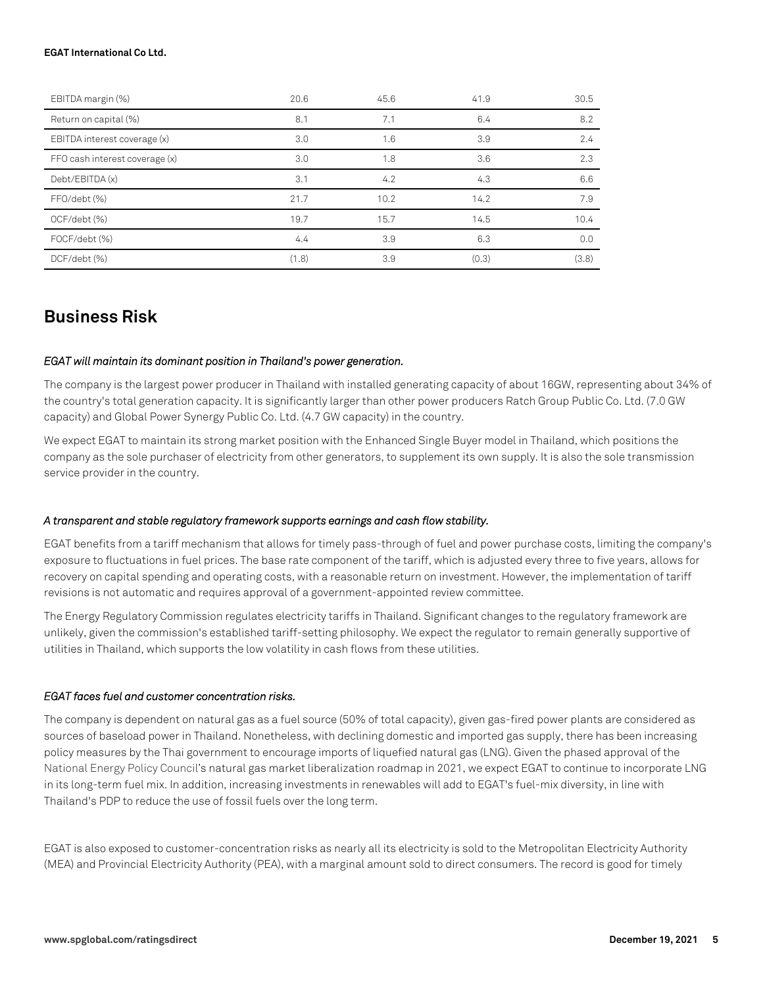| EBITDA margin (%)              | 20.6  | 45.6 | 41.9  | 30.5  |
|--------------------------------|-------|------|-------|-------|
| Return on capital (%)          | 8.1   | 7.1  | 6.4   | 8.2   |
| EBITDA interest coverage (x)   | 3.0   | 1.6  | 3.9   | 2.4   |
| FFO cash interest coverage (x) | 3.0   | 1.8  | 3.6   | 2.3   |
| Debt/EBITDA (x)                | 3.1   | 4.2  | 4.3   | 6.6   |
| FFO/debt (%)                   | 21.7  | 10.2 | 14.2  | 7.9   |
| OCF/debt (%)                   | 19.7  | 15.7 | 14.5  | 10.4  |
| FOCF/debt (%)                  | 4.4   | 3.9  | 6.3   | 0.0   |
| DCF/debt (%)                   | (1.8) | 3.9  | (0.3) | (3.8) |

## **Business Risk**

#### *EGAT will maintain its dominant position in Thailand's power generation.*

The company is the largest power producer in Thailand with installed generating capacity of about 16GW, representing about 34% of the country's total generation capacity. It is significantly larger than other power producers Ratch Group Public Co. Ltd. (7.0 GW capacity) and Global Power Synergy Public Co. Ltd. (4.7 GW capacity) in the country.

We expect EGAT to maintain its strong market position with the Enhanced Single Buyer model in Thailand, which positions the company as the sole purchaser of electricity from other generators, to supplement its own supply. It is also the sole transmission service provider in the country.

#### *A transparent and stable regulatory framework supports earnings and cash flow stability.*

EGAT benefits from a tariff mechanism that allows for timely pass-through of fuel and power purchase costs, limiting the company's exposure to fluctuations in fuel prices. The base rate component of the tariff, which is adjusted every three to five years, allows for recovery on capital spending and operating costs, with a reasonable return on investment. However, the implementation of tariff revisions is not automatic and requires approval of a government-appointed review committee.

The Energy Regulatory Commission regulates electricity tariffs in Thailand. Significant changes to the regulatory framework are unlikely, given the commission's established tariff-setting philosophy. We expect the regulator to remain generally supportive of utilities in Thailand, which supports the low volatility in cash flows from these utilities.

#### *EGAT faces fuel and customer concentration risks.*

The company is dependent on natural gas as a fuel source (50% of total capacity), given gas-fired power plants are considered as sources of baseload power in Thailand. Nonetheless, with declining domestic and imported gas supply, there has been increasing policy measures by the Thai government to encourage imports of liquefied natural gas (LNG). Given the phased approval of the National Energy Policy Council's natural gas market liberalization roadmap in 2021, we expect EGAT to continue to incorporate LNG in its long-term fuel mix. In addition, increasing investments in renewables will add to EGAT's fuel-mix diversity, in line with Thailand's PDP to reduce the use of fossil fuels over the long term.

EGAT is also exposed to customer-concentration risks as nearly all its electricity is sold to the Metropolitan Electricity Authority (MEA) and Provincial Electricity Authority (PEA), with a marginal amount sold to direct consumers. The record is good for timely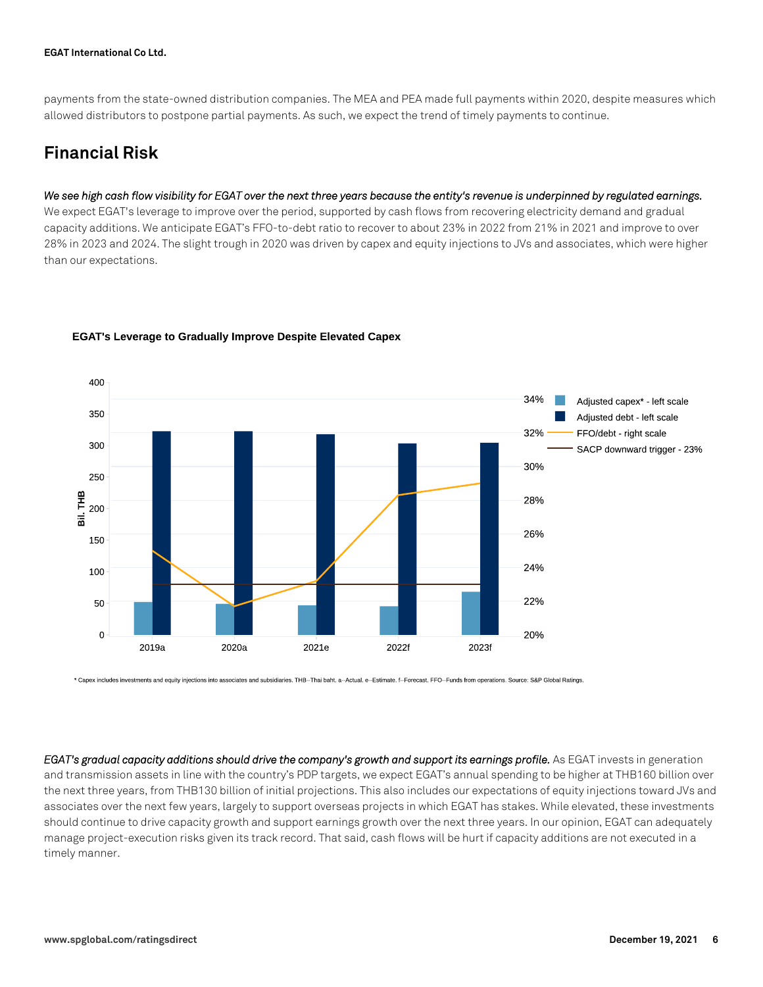payments from the state-owned distribution companies. The MEA and PEA made full payments within 2020, despite measures which allowed distributors to postpone partial payments. As such, we expect the trend of timely payments to continue.

## **Financial Risk**

#### *We see high cash flow visibility for EGAT over the next three years because the entity's revenue is underpinned by regulated earnings.*

We expect EGAT's leverage to improve over the period, supported by cash flows from recovering electricity demand and gradual capacity additions. We anticipate EGAT's FFO-to-debt ratio to recover to about 23% in 2022 from 21% in 2021 and improve to over 28% in 2023 and 2024. The slight trough in 2020 was driven by capex and equity injections to JVs and associates, which were higher than our expectations.



#### **EGAT's Leverage to Gradually Improve Despite Elevated Capex**

\* Capex includes investments and equity injections into associates and subsidiaries. THB-Thai baht. a-Actual. e-Estimate. f-Forecast. FFO-Funds from operations. Source: S&P Global Ratings.

*EGAT's gradual capacity additions should drive the company's growth and support its earnings profile.* As EGAT invests in generation and transmission assets in line with the country's PDP targets, we expect EGAT's annual spending to be higher at THB160 billion over the next three years, from THB130 billion of initial projections. This also includes our expectations of equity injections toward JVs and associates over the next few years, largely to support overseas projects in which EGAT has stakes. While elevated, these investments should continue to drive capacity growth and support earnings growth over the next three years. In our opinion, EGAT can adequately manage project-execution risks given its track record. That said, cash flows will be hurt if capacity additions are not executed in a timely manner.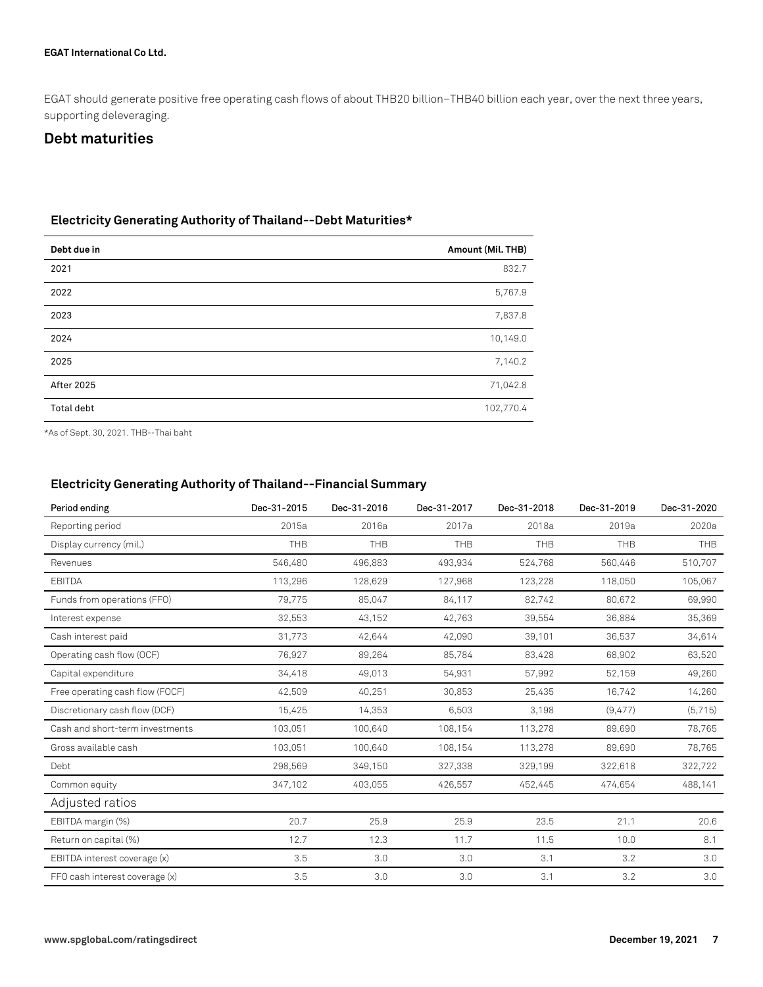EGAT should generate positive free operating cash flows of about THB20 billion–THB40 billion each year, over the next three years, supporting deleveraging.

#### **Debt maturities**

#### **Electricity Generating Authority of Thailand--Debt Maturities\***

| Debt due in       | Amount (Mil. THB) |
|-------------------|-------------------|
| 2021              | 832.7             |
| 2022              | 5,767.9           |
| 2023              | 7,837.8           |
| 2024              | 10,149.0          |
| 2025              | 7,140.2           |
| <b>After 2025</b> | 71,042.8          |
| Total debt        | 102,770.4         |

\*As of Sept. 30, 2021. THB--Thai baht

#### **Electricity Generating Authority of Thailand--Financial Summary**

| Period ending                   | Dec-31-2015 | Dec-31-2016 | Dec-31-2017 | Dec-31-2018 | Dec-31-2019 | Dec-31-2020 |
|---------------------------------|-------------|-------------|-------------|-------------|-------------|-------------|
| Reporting period                | 2015a       | 2016a       | 2017a       | 2018a       | 2019a       | 2020a       |
| Display currency (mil.)         | <b>THB</b>  | <b>THB</b>  | THB         | THB         | THB         | THB         |
| Revenues                        | 546,480     | 496,883     | 493,934     | 524,768     | 560,446     | 510,707     |
| <b>EBITDA</b>                   | 113,296     | 128,629     | 127,968     | 123,228     | 118,050     | 105,067     |
| Funds from operations (FFO)     | 79,775      | 85,047      | 84,117      | 82,742      | 80,672      | 69,990      |
| Interest expense                | 32,553      | 43,152      | 42,763      | 39,554      | 36,884      | 35,369      |
| Cash interest paid              | 31,773      | 42,644      | 42,090      | 39,101      | 36,537      | 34,614      |
| Operating cash flow (OCF)       | 76,927      | 89,264      | 85,784      | 83,428      | 68,902      | 63,520      |
| Capital expenditure             | 34,418      | 49,013      | 54,931      | 57,992      | 52,159      | 49,260      |
| Free operating cash flow (FOCF) | 42,509      | 40,251      | 30,853      | 25,435      | 16,742      | 14,260      |
| Discretionary cash flow (DCF)   | 15,425      | 14,353      | 6,503       | 3,198       | (9,477)     | (5,715)     |
| Cash and short-term investments | 103,051     | 100,640     | 108,154     | 113,278     | 89,690      | 78,765      |
| Gross available cash            | 103,051     | 100.640     | 108,154     | 113,278     | 89,690      | 78,765      |
| Debt                            | 298,569     | 349,150     | 327,338     | 329,199     | 322,618     | 322,722     |
| Common equity                   | 347,102     | 403,055     | 426,557     | 452,445     | 474,654     | 488,141     |
| Adjusted ratios                 |             |             |             |             |             |             |
| EBITDA margin (%)               | 20.7        | 25.9        | 25.9        | 23.5        | 21.1        | 20.6        |
| Return on capital (%)           | 12.7        | 12.3        | 11.7        | 11.5        | 10.0        | 8.1         |
| EBITDA interest coverage (x)    | 3.5         | 3.0         | 3.0         | 3.1         | 3.2         | 3.0         |
| FFO cash interest coverage (x)  | 3.5         | 3.0         | 3.0         | 3.1         | 3.2         | 3.0         |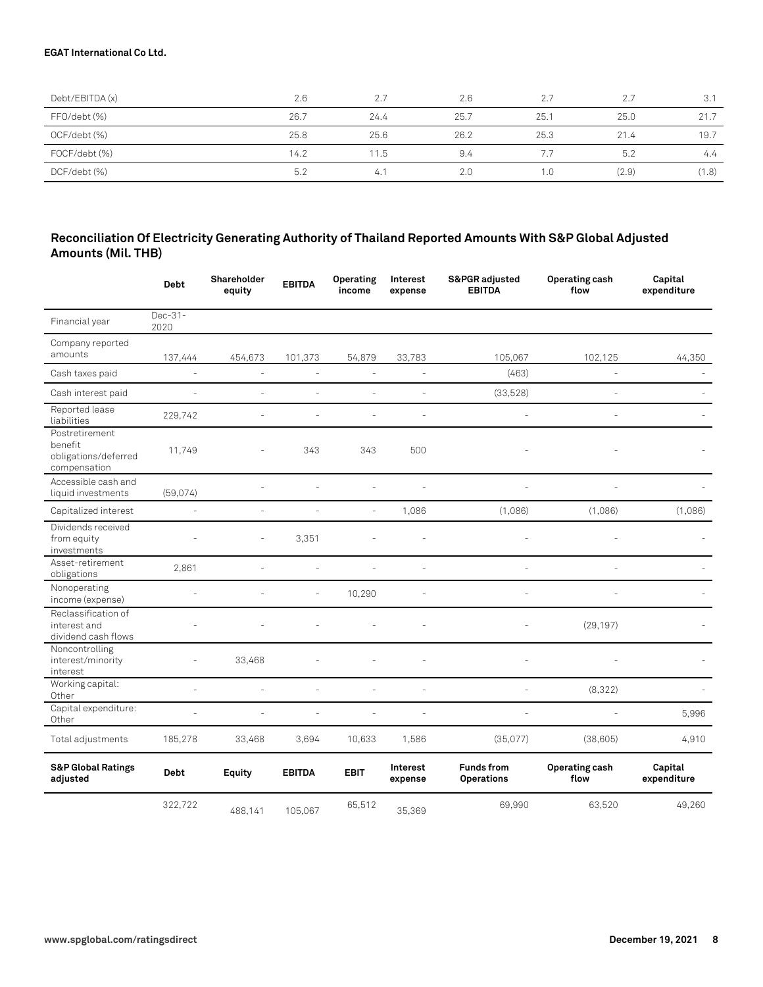| Debt/EBITDA (x) | 2.6  |      | 2.6  | 2.7  | 2.7   | 3.1   |
|-----------------|------|------|------|------|-------|-------|
| FFO/debt (%)    | 26.7 | 24.4 | 25.7 | 25.1 | 25.0  | 21.7  |
| OCF/debt (%)    | 25.8 | 25.6 | 26.2 | 25.3 | 21.4  | 19.7  |
| FOCF/debt (%)   | 14.2 | 11.5 | 9.4  | 7.7  | 5.2   | 4.4   |
| DCF/debt (%)    | 5.2  | 4.   | 2.0  | 1.0  | (2.9) | (1.8) |

#### **Reconciliation Of Electricity Generating Authority of Thailand Reported Amounts With S&P Global Adjusted Amounts (Mil. THB)**

|                                                                   | <b>Debt</b>       | Shareholder<br>equity | <b>EBITDA</b> | <b>Operating</b><br>income | Interest<br>expense | S&PGR adjusted<br><b>EBITDA</b>        | Operating cash<br>flow        | Capital<br>expenditure |
|-------------------------------------------------------------------|-------------------|-----------------------|---------------|----------------------------|---------------------|----------------------------------------|-------------------------------|------------------------|
| Financial year                                                    | $Dec-31-$<br>2020 |                       |               |                            |                     |                                        |                               |                        |
| Company reported<br>amounts                                       | 137,444           | 454,673               | 101,373       | 54,879                     | 33,783              | 105,067                                | 102,125                       | 44,350                 |
| Cash taxes paid                                                   | $\sim$            | ÷,                    | L,            | ÷,                         | L.                  | (463)                                  | $\sim$                        |                        |
| Cash interest paid                                                | ÷,                | ÷,                    | L,            | L.                         | L.                  | (33,528)                               | ÷,                            |                        |
| Reported lease<br>liabilities                                     | 229,742           | ÷,                    | ÷.            | ÷                          | L,                  |                                        | ÷.                            |                        |
| Postretirement<br>benefit<br>obligations/deferred<br>compensation | 11,749            |                       | 343           | 343                        | 500                 |                                        |                               |                        |
| Accessible cash and<br>liquid investments                         | (59,074)          |                       |               |                            |                     |                                        |                               |                        |
| Capitalized interest                                              | ä,                | ä,                    | L.            | $\sim$                     | 1,086               | (1,086)                                | (1,086)                       | (1,086)                |
| Dividends received<br>from equity<br>investments                  |                   | L,                    | 3,351         |                            |                     |                                        |                               |                        |
| Asset-retirement<br>obligations                                   | 2,861             | ä,                    | ä,            | ä,                         | L,                  | L.                                     | ÷.                            |                        |
| Nonoperating<br>income (expense)                                  |                   |                       | ä,            | 10,290                     | L                   |                                        |                               |                        |
| Reclassification of<br>interest and<br>dividend cash flows        |                   |                       |               |                            |                     |                                        | (29, 197)                     |                        |
| Noncontrolling<br>interest/minority<br>interest                   |                   | 33,468                |               |                            |                     |                                        |                               |                        |
| Working capital:<br>Other                                         | ÷.                | ÷                     | ÷.            | L.                         | ä,                  | $\overline{a}$                         | (8,322)                       |                        |
| Capital expenditure:<br>Other                                     | $\sim$            | ÷,                    | ä,            | ä,                         | ä,                  | ä,                                     |                               | 5,996                  |
| Total adjustments                                                 | 185,278           | 33,468                | 3,694         | 10,633                     | 1,586               | (35,077)                               | (38, 605)                     | 4,910                  |
| <b>S&amp;P Global Ratings</b><br>adjusted                         | Debt              | <b>Equity</b>         | <b>EBITDA</b> | <b>EBIT</b>                | Interest<br>expense | <b>Funds from</b><br><b>Operations</b> | <b>Operating cash</b><br>flow | Capital<br>expenditure |
|                                                                   | 322,722           | 488,141               | 105,067       | 65,512                     | 35,369              | 69,990                                 | 63,520                        | 49,260                 |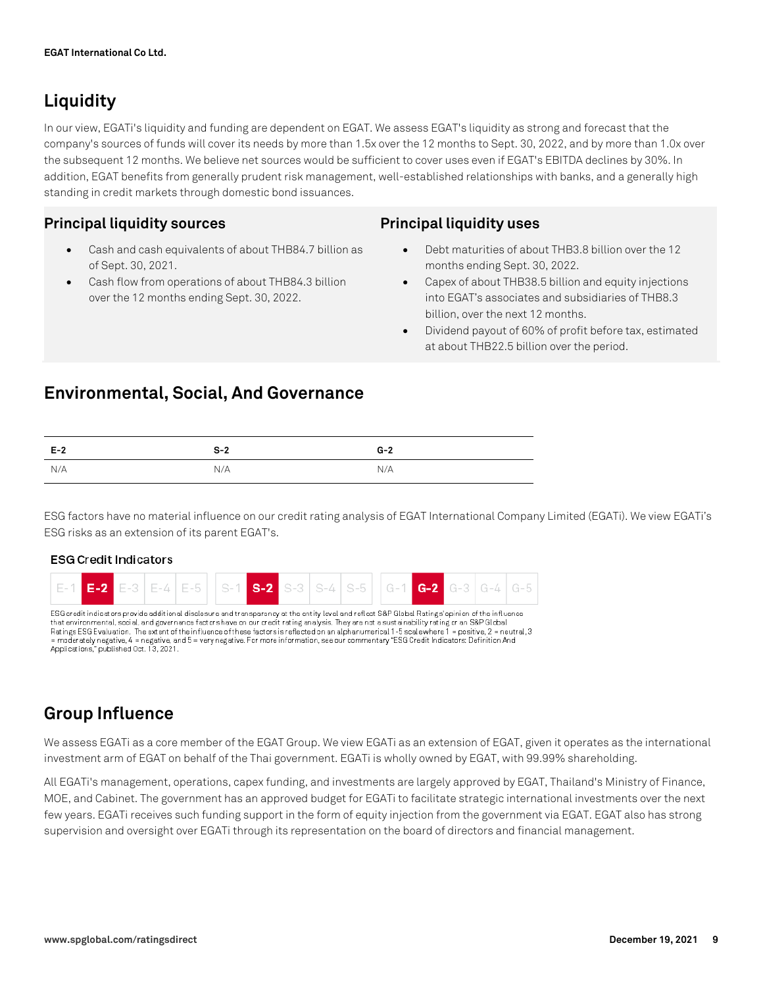## **Liquidity**

In our view, EGATi's liquidity and funding are dependent on EGAT. We assess EGAT's liquidity as strong and forecast that the company's sources of funds will cover its needs by more than 1.5x over the 12 months to Sept. 30, 2022, and by more than 1.0x over the subsequent 12 months. We believe net sources would be sufficient to cover uses even if EGAT's EBITDA declines by 30%. In addition, EGAT benefits from generally prudent risk management, well-established relationships with banks, and a generally high standing in credit markets through domestic bond issuances.

### **Principal liquidity sources**

- Cash and cash equivalents of about THB84.7 billion as of Sept. 30, 2021.
- Cash flow from operations of about THB84.3 billion over the 12 months ending Sept. 30, 2022.

#### **Principal liquidity uses**

- Debt maturities of about THB3.8 billion over the 12 months ending Sept. 30, 2022.
- Capex of about THB38.5 billion and equity injections into EGAT's associates and subsidiaries of THB8.3 billion, over the next 12 months.
- Dividend payout of 60% of profit before tax, estimated at about THB22.5 billion over the period.

## **Environmental, Social, And Governance**

| $E-2$ | $S-2$ | $G-2$ |
|-------|-------|-------|
| N/A   | N/A   | N/A   |

ESG factors have no material influence on our credit rating analysis of EGAT International Company Limited (EGATi). We view EGATi's ESG risks as an extension of its parent EGAT's.

#### **ESG Credit Indicators**  $E-2$  $F - 4$  $E-5$  $S-2$  $S-4$  $S-5$  $G-2$

ESG credit indicators provide additional disclosure and transparency at the entity level and reflect S&P Global Ratings opinion of the influence that environmental, social, and governance factors have on our credit rating analysis. They are not a sustainability rating or an S&P Global Ratings ESG Evaluation. The extent of the influence of these factors is reflected on an alphanumerical 1-5 scale where 1 = positive, 2 = neutral, 3 = moderately negative, 4 = negative, and 5 = very negative. For more information, see our commentary "ESG Credit Indicators: Definition And<br>Applications," published Oct. 13, 2021.

## **Group Influence**

We assess EGATi as a core member of the EGAT Group. We view EGATi as an extension of EGAT, given it operates as the international investment arm of EGAT on behalf of the Thai government. EGATi is wholly owned by EGAT, with 99.99% shareholding.

All EGATi's management, operations, capex funding, and investments are largely approved by EGAT, Thailand's Ministry of Finance, MOE, and Cabinet. The government has an approved budget for EGATi to facilitate strategic international investments over the next few years. EGATi receives such funding support in the form of equity injection from the government via EGAT. EGAT also has strong supervision and oversight over EGATi through its representation on the board of directors and financial management.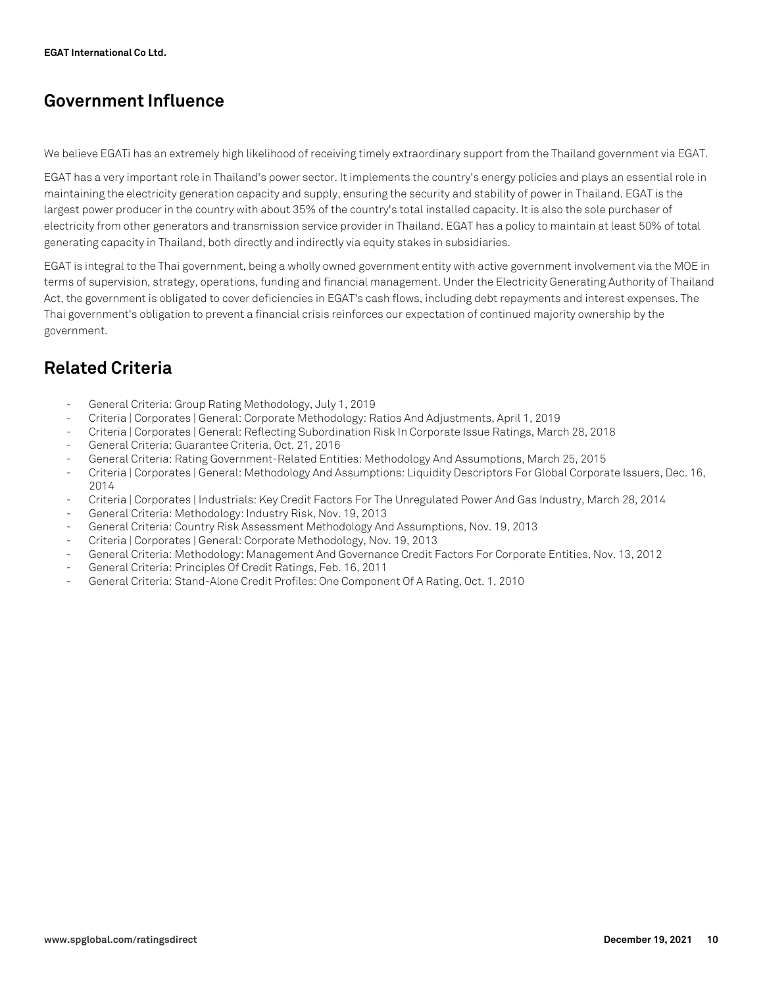## **Government Influence**

We believe EGATi has an extremely high likelihood of receiving timely extraordinary support from the Thailand government via EGAT.

EGAT has a very important role in Thailand's power sector. It implements the country's energy policies and plays an essential role in maintaining the electricity generation capacity and supply, ensuring the security and stability of power in Thailand. EGAT is the largest power producer in the country with about 35% of the country's total installed capacity. It is also the sole purchaser of electricity from other generators and transmission service provider in Thailand. EGAT has a policy to maintain at least 50% of total generating capacity in Thailand, both directly and indirectly via equity stakes in subsidiaries.

EGAT is integral to the Thai government, being a wholly owned government entity with active government involvement via the MOE in terms of supervision, strategy, operations, funding and financial management. Under the Electricity Generating Authority of Thailand Act, the government is obligated to cover deficiencies in EGAT's cash flows, including debt repayments and interest expenses. The Thai government's obligation to prevent a financial crisis reinforces our expectation of continued majority ownership by the government.

## **Related Criteria**

- General Criteria: Group Rating Methodology, July 1, 2019
- Criteria | Corporates | General: Corporate Methodology: Ratios And Adjustments, April 1, 2019
- Criteria | Corporates | General: Reflecting Subordination Risk In Corporate Issue Ratings, March 28, 2018
- General Criteria: Guarantee Criteria, Oct. 21, 2016
- General Criteria: Rating Government-Related Entities: Methodology And Assumptions, March 25, 2015
- Criteria | Corporates | General: Methodology And Assumptions: Liquidity Descriptors For Global Corporate Issuers, Dec. 16, 2014
- Criteria | Corporates | Industrials: Key Credit Factors For The Unregulated Power And Gas Industry, March 28, 2014
- General Criteria: Methodology: Industry Risk, Nov. 19, 2013
- General Criteria: Country Risk Assessment Methodology And Assumptions, Nov. 19, 2013
- Criteria | Corporates | General: Corporate Methodology, Nov. 19, 2013
- General Criteria: Methodology: Management And Governance Credit Factors For Corporate Entities, Nov. 13, 2012
- General Criteria: Principles Of Credit Ratings, Feb. 16, 2011
- General Criteria: Stand-Alone Credit Profiles: One Component Of A Rating, Oct. 1, 2010